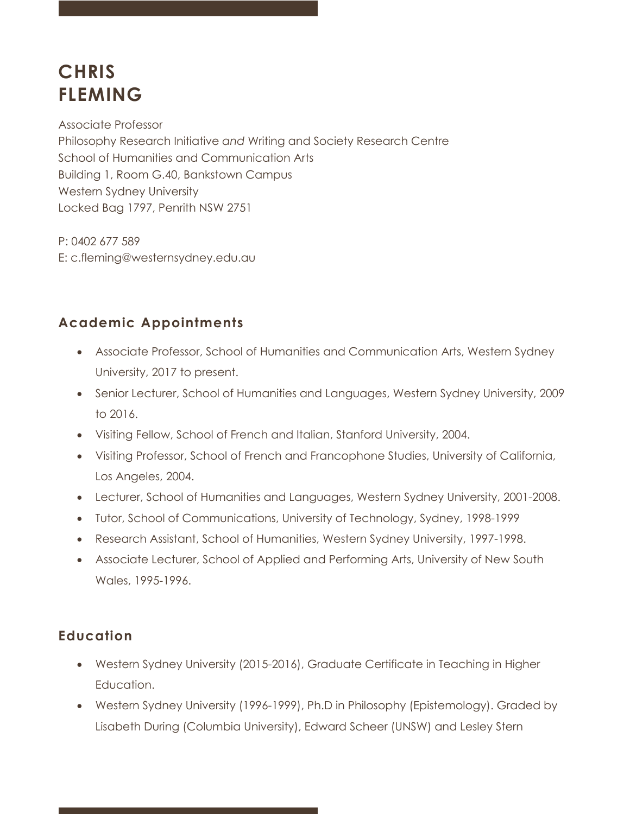# **CHRIS FLEMING**

Associate Professor Philosophy Research Initiative *and* Writing and Society Research Centre School of Humanities and Communication Arts Building 1, Room G.40, Bankstown Campus Western Sydney University Locked Bag 1797, Penrith NSW 2751

P: 0402 677 589 E: c.fleming@westernsydney.edu.au

# **Academic Appointments**

- Associate Professor, School of Humanities and Communication Arts, Western Sydney University, 2017 to present.
- Senior Lecturer, School of Humanities and Languages, Western Sydney University, 2009 to 2016.
- Visiting Fellow, School of French and Italian, Stanford University, 2004.
- Visiting Professor, School of French and Francophone Studies, University of California, Los Angeles, 2004.
- Lecturer, School of Humanities and Languages, Western Sydney University, 2001-2008.
- Tutor, School of Communications, University of Technology, Sydney, 1998-1999
- Research Assistant, School of Humanities, Western Sydney University, 1997-1998.
- Associate Lecturer, School of Applied and Performing Arts, University of New South Wales, 1995-1996.

# **Education**

- Western Sydney University (2015-2016), Graduate Certificate in Teaching in Higher Education.
- Western Sydney University (1996-1999), Ph.D in Philosophy (Epistemology). Graded by Lisabeth During (Columbia University), Edward Scheer (UNSW) and Lesley Stern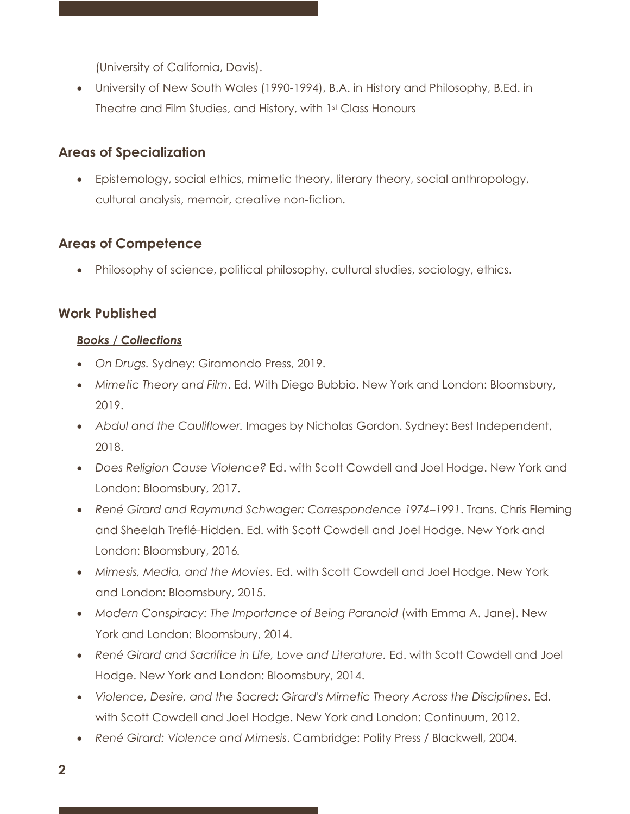(University of California, Davis).

• University of New South Wales (1990-1994), B.A. in History and Philosophy, B.Ed. in Theatre and Film Studies, and History, with 1st Class Honours

## **Areas of Specialization**

• Epistemology, social ethics, mimetic theory, literary theory, social anthropology, cultural analysis, memoir, creative non-fiction.

## **Areas of Competence**

• Philosophy of science, political philosophy, cultural studies, sociology, ethics.

## **Work Published**

#### *Books / Collections*

- *On Drugs.* Sydney: Giramondo Press, 2019.
- *Mimetic Theory and Film*. Ed. With Diego Bubbio. New York and London: Bloomsbury, 2019.
- *Abdul and the Cauliflower.* Images by Nicholas Gordon. Sydney: Best Independent, 2018.
- *Does Religion Cause Violence?* Ed. with Scott Cowdell and Joel Hodge. New York and London: Bloomsbury, 2017.
- *René Girard and Raymund Schwager: Correspondence 1974–1991*. Trans. Chris Fleming and Sheelah Treflé-Hidden. Ed. with Scott Cowdell and Joel Hodge. New York and London: Bloomsbury, 2016*.*
- *Mimesis, Media, and the Movies*. Ed. with Scott Cowdell and Joel Hodge. New York and London: Bloomsbury, 2015.
- *Modern Conspiracy: The Importance of Being Paranoid* (with Emma A. Jane). New York and London: Bloomsbury, 2014.
- *René Girard and Sacrifice in Life, Love and Literature.* Ed. with Scott Cowdell and Joel Hodge. New York and London: Bloomsbury, 2014.
- *Violence, Desire, and the Sacred: Girard's Mimetic Theory Across the Disciplines*. Ed. with Scott Cowdell and Joel Hodge. New York and London: Continuum, 2012.
- *René Girard: Violence and Mimesis*. Cambridge: Polity Press / Blackwell, 2004.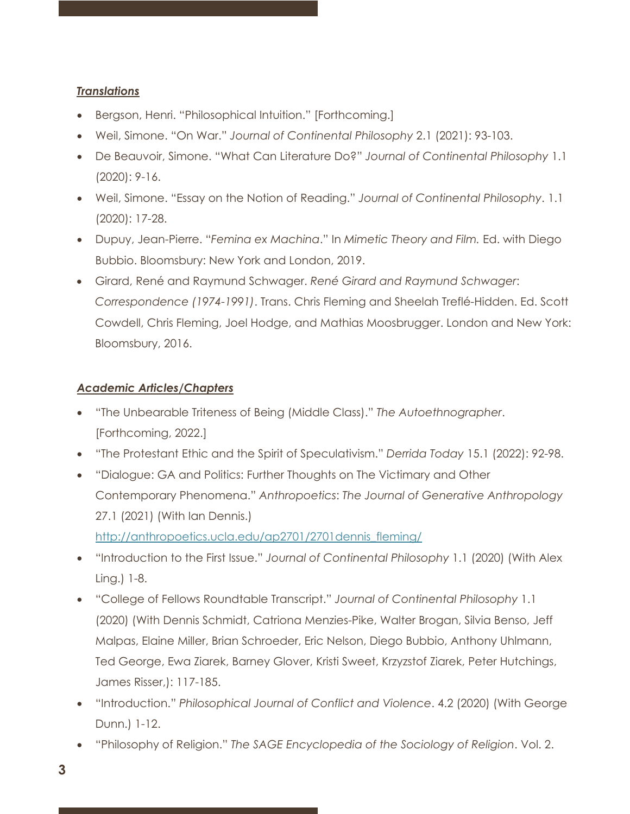#### *Translations*

- Bergson, Henri. "Philosophical Intuition." [Forthcoming.]
- Weil, Simone. "On War." *Journal of Continental Philosophy* 2.1 (2021): 93-103.
- De Beauvoir, Simone. "What Can Literature Do?" *Journal of Continental Philosophy* 1.1 (2020): 9-16.
- Weil, Simone. "Essay on the Notion of Reading." *Journal of Continental Philosophy*. 1.1 (2020): 17-28.
- Dupuy, Jean-Pierre. "*Femina ex Machina*." In *Mimetic Theory and Film.* Ed. with Diego Bubbio. Bloomsbury: New York and London, 2019.
- Girard, René and Raymund Schwager. *René Girard and Raymund Schwager*: *Correspondence (1974-1991)*. Trans. Chris Fleming and Sheelah Treflé-Hidden. Ed. Scott Cowdell, Chris Fleming, Joel Hodge, and Mathias Moosbrugger. London and New York: Bloomsbury, 2016.

#### *Academic Articles/Chapters*

- "The Unbearable Triteness of Being (Middle Class)." *The Autoethnographer*. [Forthcoming, 2022.]
- "The Protestant Ethic and the Spirit of Speculativism." *Derrida Today* 15.1 (2022): 92-98.
- "Dialogue: GA and Politics: Further Thoughts on The Victimary and Other Contemporary Phenomena." *Anthropoetics*: *The Journal of Generative Anthropology* 27.1 (2021) (With Ian Dennis.)

http://anthropoetics.ucla.edu/ap2701/2701dennis\_fleming/

- "Introduction to the First Issue." *Journal of Continental Philosophy* 1.1 (2020) (With Alex Ling.) 1-8.
- "College of Fellows Roundtable Transcript." *Journal of Continental Philosophy* 1.1 (2020) (With Dennis Schmidt, Catriona Menzies-Pike, Walter Brogan, Silvia Benso, Jeff Malpas, Elaine Miller, Brian Schroeder, Eric Nelson, Diego Bubbio, Anthony Uhlmann, Ted George, Ewa Ziarek, Barney Glover, Kristi Sweet, Krzyzstof Ziarek, Peter Hutchings, James Risser,): 117-185.
- "Introduction." *Philosophical Journal of Conflict and Violence*. 4.2 (2020) (With George Dunn.) 1-12.
- "Philosophy of Religion." *The SAGE Encyclopedia of the Sociology of Religion*. Vol. 2.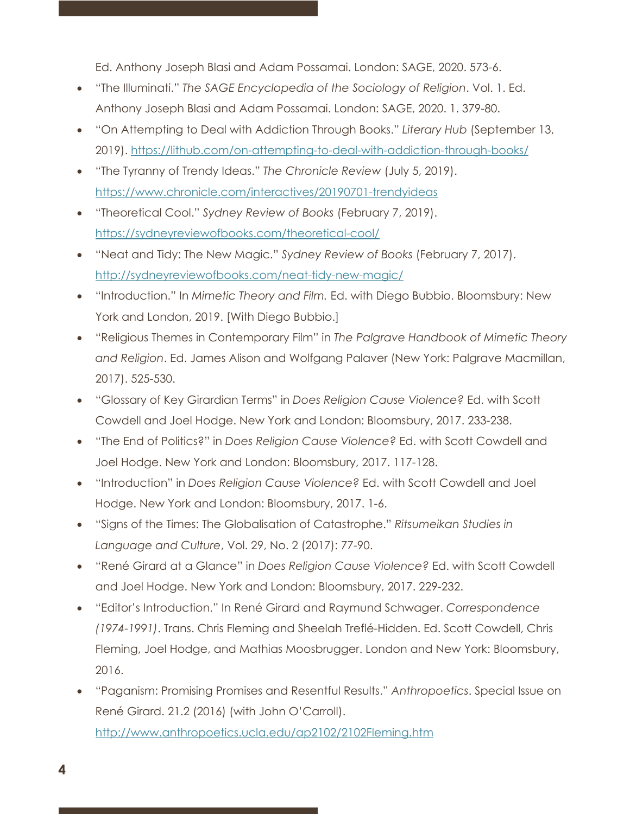Ed. Anthony Joseph Blasi and Adam Possamai. London: SAGE, 2020. 573-6.

- "The Illuminati." *The SAGE Encyclopedia of the Sociology of Religion*. Vol. 1. Ed. Anthony Joseph Blasi and Adam Possamai. London: SAGE, 2020. 1. 379-80.
- "On Attempting to Deal with Addiction Through Books." *Literary Hub* (September 13, 2019). https://lithub.com/on-attempting-to-deal-with-addiction-through-books/
- "The Tyranny of Trendy Ideas." *The Chronicle Review* (July 5, 2019). https://www.chronicle.com/interactives/20190701-trendyideas
- "Theoretical Cool." *Sydney Review of Books* (February 7, 2019). https://sydneyreviewofbooks.com/theoretical-cool/
- "Neat and Tidy: The New Magic." *Sydney Review of Books* (February 7, 2017). http://sydneyreviewofbooks.com/neat-tidy-new-magic/
- "Introduction." In *Mimetic Theory and Film.* Ed. with Diego Bubbio. Bloomsbury: New York and London, 2019. [With Diego Bubbio.]
- "Religious Themes in Contemporary Film" in *The Palgrave Handbook of Mimetic Theory and Religion*. Ed. James Alison and Wolfgang Palaver (New York: Palgrave Macmillan, 2017). 525-530.
- "Glossary of Key Girardian Terms" in *Does Religion Cause Violence?* Ed. with Scott Cowdell and Joel Hodge. New York and London: Bloomsbury, 2017. 233-238.
- "The End of Politics?" in *Does Religion Cause Violence?* Ed. with Scott Cowdell and Joel Hodge. New York and London: Bloomsbury, 2017. 117-128.
- "Introduction" in *Does Religion Cause Violence?* Ed. with Scott Cowdell and Joel Hodge. New York and London: Bloomsbury, 2017. 1-6.
- "Signs of the Times: The Globalisation of Catastrophe." *Ritsumeikan Studies in Language and Culture*, Vol. 29, No. 2 (2017): 77-90.
- "René Girard at a Glance" in *Does Religion Cause Violence?* Ed. with Scott Cowdell and Joel Hodge. New York and London: Bloomsbury, 2017. 229-232.
- "Editor's Introduction." In René Girard and Raymund Schwager. *Correspondence (1974-1991)*. Trans. Chris Fleming and Sheelah Treflé-Hidden. Ed. Scott Cowdell, Chris Fleming, Joel Hodge, and Mathias Moosbrugger. London and New York: Bloomsbury, 2016.
- "Paganism: Promising Promises and Resentful Results." *Anthropoetics*. Special Issue on René Girard. 21.2 (2016) (with John O'Carroll). http://www.anthropoetics.ucla.edu/ap2102/2102Fleming.htm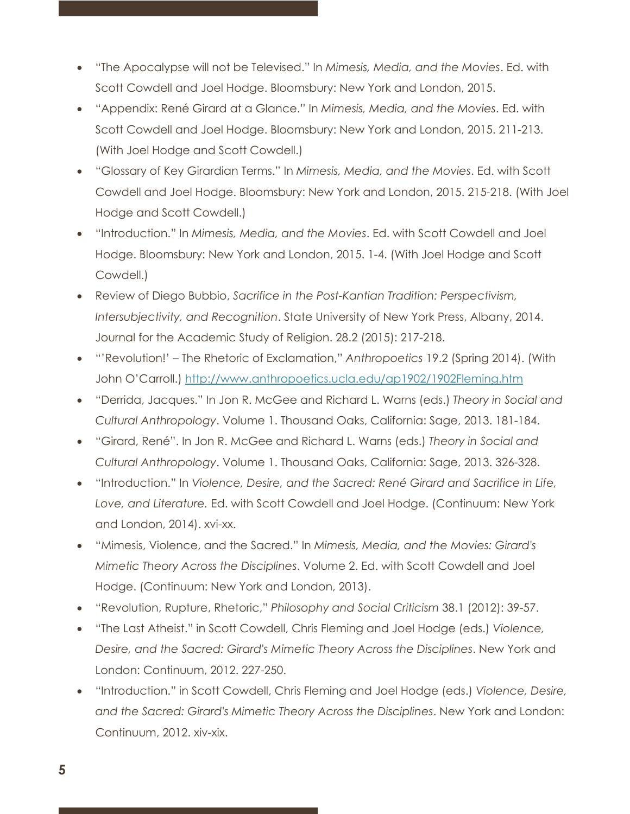- "The Apocalypse will not be Televised." In *Mimesis, Media, and the Movies*. Ed. with Scott Cowdell and Joel Hodge. Bloomsbury: New York and London, 2015.
- "Appendix: René Girard at a Glance." In *Mimesis, Media, and the Movies*. Ed. with Scott Cowdell and Joel Hodge. Bloomsbury: New York and London, 2015. 211-213. (With Joel Hodge and Scott Cowdell.)
- "Glossary of Key Girardian Terms." In *Mimesis, Media, and the Movies*. Ed. with Scott Cowdell and Joel Hodge. Bloomsbury: New York and London, 2015. 215-218. (With Joel Hodge and Scott Cowdell.)
- "Introduction." In *Mimesis, Media, and the Movies*. Ed. with Scott Cowdell and Joel Hodge. Bloomsbury: New York and London, 2015. 1-4. (With Joel Hodge and Scott Cowdell.)
- Review of Diego Bubbio, *Sacrifice in the Post-Kantian Tradition: Perspectivism, Intersubjectivity, and Recognition*. State University of New York Press, Albany, 2014. Journal for the Academic Study of Religion. 28.2 (2015): 217-218.
- "'Revolution!' The Rhetoric of Exclamation," *Anthropoetics* 19.2 (Spring 2014). (With John O'Carroll.) http://www.anthropoetics.ucla.edu/ap1902/1902Fleming.htm
- "Derrida, Jacques." In Jon R. McGee and Richard L. Warns (eds.) *Theory in Social and Cultural Anthropology*. Volume 1. Thousand Oaks, California: Sage, 2013. 181-184.
- "Girard, René". In Jon R. McGee and Richard L. Warns (eds.) *Theory in Social and Cultural Anthropology*. Volume 1. Thousand Oaks, California: Sage, 2013. 326-328.
- "Introduction." In *Violence, Desire, and the Sacred: René Girard and Sacrifice in Life, Love, and Literature.* Ed. with Scott Cowdell and Joel Hodge. (Continuum: New York and London, 2014). xvi-xx.
- "Mimesis, Violence, and the Sacred." In *Mimesis, Media, and the Movies: Girard's Mimetic Theory Across the Disciplines*. Volume 2. Ed. with Scott Cowdell and Joel Hodge. (Continuum: New York and London, 2013).
- "Revolution, Rupture, Rhetoric," *Philosophy and Social Criticism* 38.1 (2012): 39-57.
- "The Last Atheist." in Scott Cowdell, Chris Fleming and Joel Hodge (eds.) *Violence, Desire, and the Sacred: Girard's Mimetic Theory Across the Disciplines*. New York and London: Continuum, 2012. 227-250.
- "Introduction." in Scott Cowdell, Chris Fleming and Joel Hodge (eds.) *Violence, Desire, and the Sacred: Girard's Mimetic Theory Across the Disciplines*. New York and London: Continuum, 2012. xiv-xix.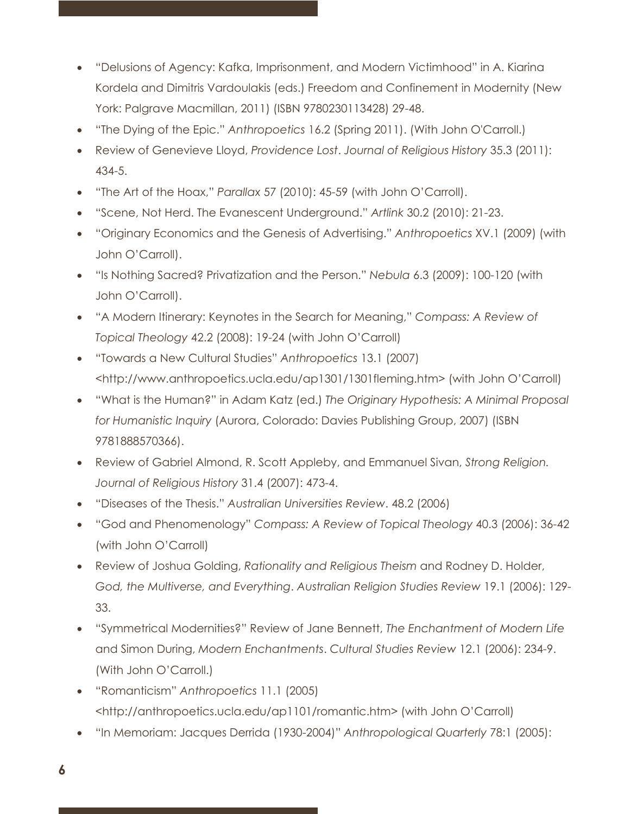- "Delusions of Agency: Kafka, Imprisonment, and Modern Victimhood" in A. Kiarina Kordela and Dimitris Vardoulakis (eds.) Freedom and Confinement in Modernity (New York: Palgrave Macmillan, 2011) (ISBN 9780230113428) 29-48.
- "The Dying of the Epic." *Anthropoetics* 16.2 (Spring 2011). (With John O'Carroll.)
- Review of Genevieve Lloyd, *Providence Lost*. *Journal of Religious History* 35.3 (2011): 434-5.
- "The Art of the Hoax," *Parallax* 57 (2010): 45-59 (with John O'Carroll).
- "Scene, Not Herd. The Evanescent Underground." *Artlink* 30.2 (2010): 21-23.
- "Originary Economics and the Genesis of Advertising." *Anthropoetics* XV.1 (2009) (with John O'Carroll).
- "Is Nothing Sacred? Privatization and the Person." *Nebula* 6.3 (2009): 100-120 (with John O'Carroll).
- "A Modern Itinerary: Keynotes in the Search for Meaning," *Compass: A Review of Topical Theology* 42.2 (2008): 19-24 (with John O'Carroll)
- "Towards a New Cultural Studies" *Anthropoetics* 13.1 (2007) <http://www.anthropoetics.ucla.edu/ap1301/1301fleming.htm> (with John O'Carroll)
- "What is the Human?" in Adam Katz (ed.) *The Originary Hypothesis: A Minimal Proposal for Humanistic Inquiry* (Aurora, Colorado: Davies Publishing Group, 2007) (ISBN 9781888570366).
- Review of Gabriel Almond, R. Scott Appleby, and Emmanuel Sivan, *Strong Religion. Journal of Religious History* 31.4 (2007): 473-4.
- "Diseases of the Thesis." *Australian Universities Review*. 48.2 (2006)
- "God and Phenomenology" *Compass: A Review of Topical Theology* 40.3 (2006): 36-42 (with John O'Carroll)
- Review of Joshua Golding, *Rationality and Religious Theism* and Rodney D. Holder, *God, the Multiverse, and Everything*. *Australian Religion Studies Review* 19.1 (2006): 129- 33.
- "Symmetrical Modernities?" Review of Jane Bennett, *The Enchantment of Modern Life* and Simon During, *Modern Enchantments*. *Cultural Studies Review* 12.1 (2006): 234-9. (With John O'Carroll.)
- "Romanticism" *Anthropoetics* 11.1 (2005) <http://anthropoetics.ucla.edu/ap1101/romantic.htm> (with John O'Carroll)
- "In Memoriam: Jacques Derrida (1930-2004)" *Anthropological Quarterly* 78:1 (2005):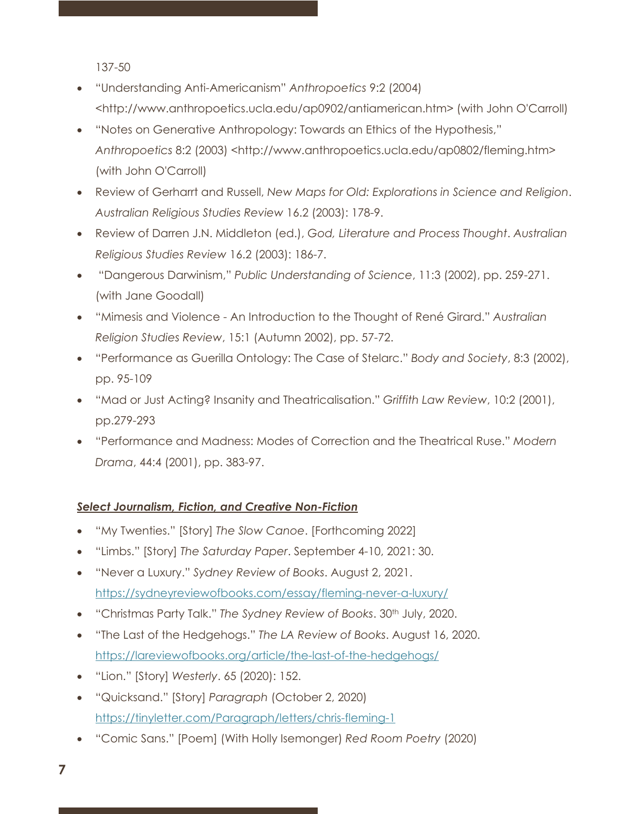137-50

- "Understanding Anti-Americanism" *Anthropoetics* 9:2 (2004) <http://www.anthropoetics.ucla.edu/ap0902/antiamerican.htm> (with John O'Carroll)
- "Notes on Generative Anthropology: Towards an Ethics of the Hypothesis," *Anthropoetics* 8:2 (2003) <http://www.anthropoetics.ucla.edu/ap0802/fleming.htm> (with John O'Carroll)
- Review of Gerharrt and Russell, *New Maps for Old: Explorations in Science and Religion*. *Australian Religious Studies Review* 16.2 (2003): 178-9.
- Review of Darren J.N. Middleton (ed.), *God, Literature and Process Thought*. *Australian Religious Studies Review* 16.2 (2003): 186-7.
- "Dangerous Darwinism," *Public Understanding of Science*, 11:3 (2002), pp. 259-271. (with Jane Goodall)
- "Mimesis and Violence An Introduction to the Thought of René Girard." *Australian Religion Studies Review*, 15:1 (Autumn 2002), pp. 57-72.
- "Performance as Guerilla Ontology: The Case of Stelarc." *Body and Society*, 8:3 (2002), pp. 95-109
- "Mad or Just Acting? Insanity and Theatricalisation." *Griffith Law Review*, 10:2 (2001), pp.279-293
- "Performance and Madness: Modes of Correction and the Theatrical Ruse." *Modern Drama*, 44:4 (2001), pp. 383-97.

#### *Select Journalism, Fiction, and Creative Non-Fiction*

- "My Twenties." [Story] *The Slow Canoe*. [Forthcoming 2022]
- "Limbs." [Story] *The Saturday Paper*. September 4-10, 2021: 30.
- "Never a Luxury." *Sydney Review of Books*. August 2, 2021. https://sydneyreviewofbooks.com/essay/fleming-never-a-luxury/
- "Christmas Party Talk." The Sydney Review of Books. 30<sup>th</sup> July, 2020.
- "The Last of the Hedgehogs." *The LA Review of Books*. August 16, 2020. https://lareviewofbooks.org/article/the-last-of-the-hedgehogs/
- "Lion." [Story] *Westerly*. 65 (2020): 152.
- "Quicksand." [Story] *Paragraph* (October 2, 2020) https://tinyletter.com/Paragraph/letters/chris-fleming-1
- "Comic Sans." [Poem] (With Holly Isemonger) *Red Room Poetry* (2020)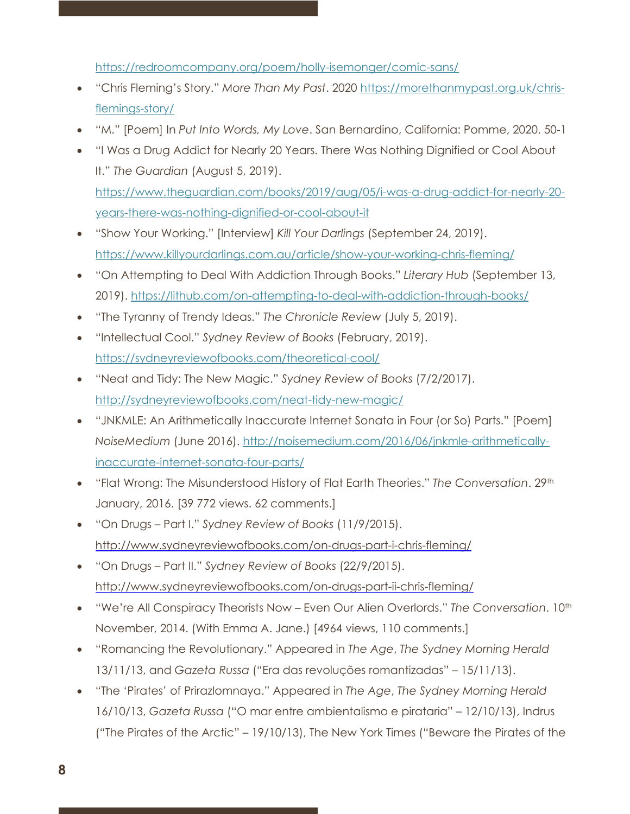https://redroomcompany.org/poem/holly-isemonger/comic-sans/

- "Chris Fleming's Story." *More Than My Past*. 2020 https://morethanmypast.org.uk/chrisflemings-story/
- "M." [Poem] In *Put Into Words, My Love*. San Bernardino, California: Pomme, 2020. 50-1
- "I Was a Drug Addict for Nearly 20 Years. There Was Nothing Dignified or Cool About It." *The Guardian* (August 5, 2019).

https://www.theguardian.com/books/2019/aug/05/i-was-a-drug-addict-for-nearly-20 years-there-was-nothing-dignified-or-cool-about-it

- "Show Your Working." [Interview] *Kill Your Darlings* (September 24, 2019). https://www.killyourdarlings.com.au/article/show-your-working-chris-fleming/
- "On Attempting to Deal With Addiction Through Books." *Literary Hub* (September 13, 2019). https://lithub.com/on-attempting-to-deal-with-addiction-through-books/
- "The Tyranny of Trendy Ideas." *The Chronicle Review* (July 5, 2019).
- "Intellectual Cool." *Sydney Review of Books* (February, 2019). https://sydneyreviewofbooks.com/theoretical-cool/
- "Neat and Tidy: The New Magic." *Sydney Review of Books* (7/2/2017). http://sydneyreviewofbooks.com/neat-tidy-new-magic/
- "JNKMLE: An Arithmetically Inaccurate Internet Sonata in Four (or So) Parts." [Poem] *NoiseMedium* (June 2016). http://noisemedium.com/2016/06/jnkmle-arithmeticallyinaccurate-internet-sonata-four-parts/
- "Flat Wrong: The Misunderstood History of Flat Earth Theories." *The Conversation*. 29th January, 2016. [39 772 views. 62 comments.]
- "On Drugs Part I." *Sydney Review of Books* (11/9/2015). http://www.sydneyreviewofbooks.com/on-drugs-part-i-chris-fleming/
- "On Drugs Part II." *Sydney Review of Books* (22/9/2015). http://www.sydneyreviewofbooks.com/on-drugs-part-ii-chris-fleming/
- "We're All Conspiracy Theorists Now Even Our Alien Overlords." *The Conversation*. 10th November, 2014. (With Emma A. Jane.) [4964 views, 110 comments.]
- "Romancing the Revolutionary." Appeared in *The Age*, *The Sydney Morning Herald* 13/11/13, and *Gazeta Russa* ("Era das revoluções romantizadas" – 15/11/13).
- "The 'Pirates' of Prirazlomnaya." Appeared in *The Age*, *The Sydney Morning Herald* 16/10/13, *Gazeta Russa* ("O mar entre ambientalismo e pirataria" – 12/10/13), Indrus ("The Pirates of the Arctic" – 19/10/13), The New York Times ("Beware the Pirates of the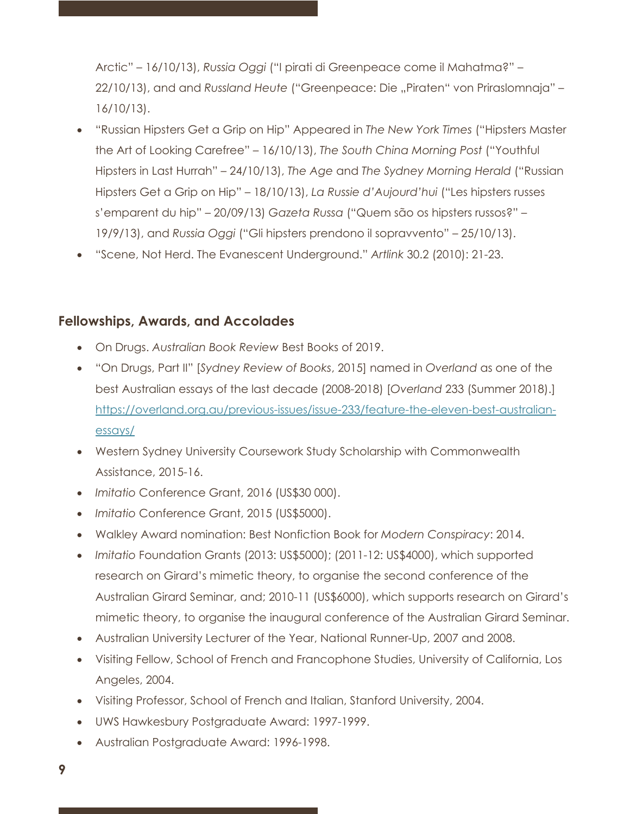Arctic" – 16/10/13), *Russia Oggi* ("I pirati di Greenpeace come il Mahatma?" – 22/10/13), and and *Russland Heute* ("Greenpeace: Die "Piraten" von Priraslomnaja" – 16/10/13).

- "Russian Hipsters Get a Grip on Hip" Appeared in *The New York Times* ("Hipsters Master the Art of Looking Carefree" – 16/10/13), *The South China Morning Post* ("Youthful Hipsters in Last Hurrah" – 24/10/13), *The Age* and *The Sydney Morning Herald* ("Russian Hipsters Get a Grip on Hip" – 18/10/13), *La Russie d'Aujourd'hui* ("Les hipsters russes s'emparent du hip" – 20/09/13) *Gazeta Russa* ("Quem são os hipsters russos?" – 19/9/13), and *Russia Oggi* ("Gli hipsters prendono il sopravvento" – 25/10/13).
- "Scene, Not Herd. The Evanescent Underground." *Artlink* 30.2 (2010): 21-23.

#### **Fellowships, Awards, and Accolades**

- On Drugs. *Australian Book Review* Best Books of 2019.
- "On Drugs, Part II" [*Sydney Review of Books*, 2015] named in *Overland* as one of the best Australian essays of the last decade (2008-2018) [*Overland* 233 (Summer 2018).] https://overland.org.au/previous-issues/issue-233/feature-the-eleven-best-australianessays/
- Western Sydney University Coursework Study Scholarship with Commonwealth Assistance, 2015-16.
- *Imitatio* Conference Grant, 2016 (US\$30 000).
- *Imitatio* Conference Grant, 2015 (US\$5000).
- Walkley Award nomination: Best Nonfiction Book for *Modern Conspiracy*: 2014.
- *Imitatio* Foundation Grants (2013: US\$5000); (2011-12: US\$4000), which supported research on Girard's mimetic theory, to organise the second conference of the Australian Girard Seminar, and; 2010-11 (US\$6000), which supports research on Girard's mimetic theory, to organise the inaugural conference of the Australian Girard Seminar.
- Australian University Lecturer of the Year, National Runner-Up, 2007 and 2008.
- Visiting Fellow, School of French and Francophone Studies, University of California, Los Angeles, 2004.
- Visiting Professor, School of French and Italian, Stanford University, 2004.
- UWS Hawkesbury Postgraduate Award: 1997-1999.
- Australian Postgraduate Award: 1996-1998.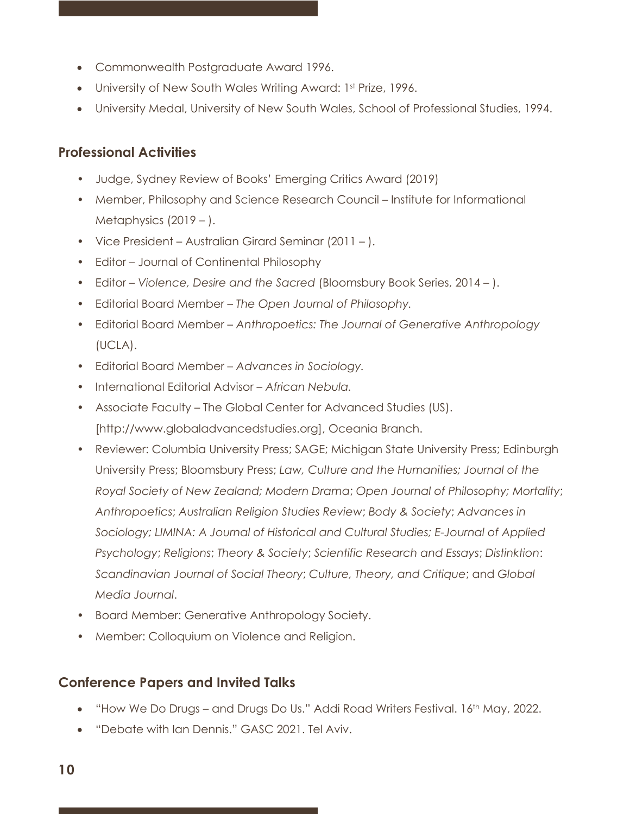- Commonwealth Postgraduate Award 1996.
- University of New South Wales Writing Award: 1st Prize, 1996.
- University Medal, University of New South Wales, School of Professional Studies, 1994.

## **Professional Activities**

- Judge, Sydney Review of Books' Emerging Critics Award (2019)
- Member, Philosophy and Science Research Council Institute for Informational Metaphysics (2019 – ).
- Vice President Australian Girard Seminar (2011 ).
- Editor Journal of Continental Philosophy
- Editor *Violence, Desire and the Sacred* (Bloomsbury Book Series, 2014 ).
- Editorial Board Member *The Open Journal of Philosophy.*
- Editorial Board Member *Anthropoetics: The Journal of Generative Anthropology* (UCLA).
- Editorial Board Member *Advances in Sociology.*
- International Editorial Advisor *African Nebula.*
- Associate Faculty The Global Center for Advanced Studies (US). [http://www.globaladvancedstudies.org], Oceania Branch.
- Reviewer: Columbia University Press; SAGE; Michigan State University Press; Edinburgh University Press; Bloomsbury Press; *Law, Culture and the Humanities; Journal of the Royal Society of New Zealand; Modern Drama*; *Open Journal of Philosophy; Mortality*; *Anthropoetics*; *Australian Religion Studies Review*; *Body & Society*; *Advances in Sociology; LIMINA: A Journal of Historical and Cultural Studies; E-Journal of Applied Psychology*; *Religions*; *Theory & Society*; *Scientific Research and Essays*; *Distinktion*: *Scandinavian Journal of Social Theory*; *Culture, Theory, and Critique*; and *Global Media Journal*.
- Board Member: Generative Anthropology Society.
- Member: Colloquium on Violence and Religion.

# **Conference Papers and Invited Talks**

- "How We Do Drugs and Drugs Do Us." Addi Road Writers Festival. 16<sup>th</sup> May, 2022.
- "Debate with Ian Dennis." GASC 2021. Tel Aviv.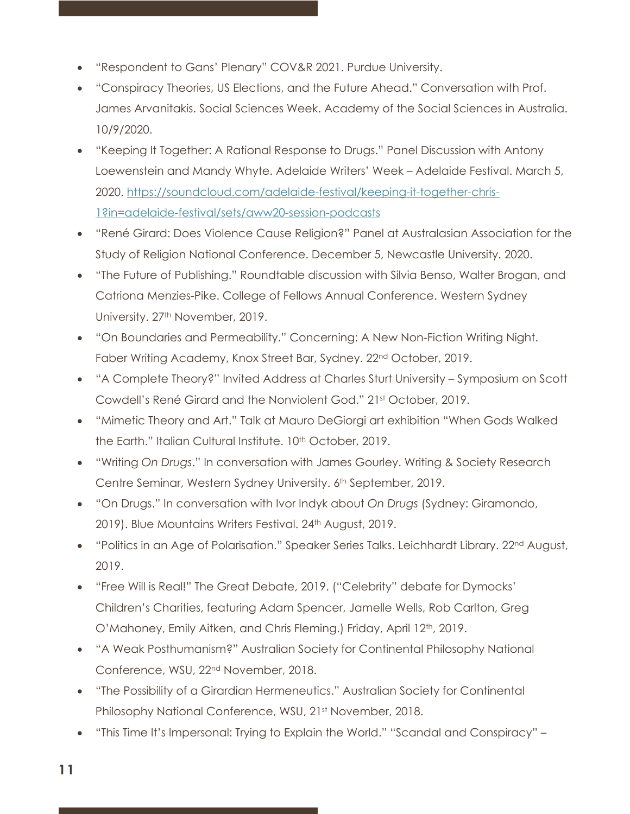- "Respondent to Gans' Plenary" COV&R 2021. Purdue University.
- "Conspiracy Theories, US Elections, and the Future Ahead." Conversation with Prof. James Arvanitakis. Social Sciences Week. Academy of the Social Sciences in Australia. 10/9/2020.
- "Keeping It Together: A Rational Response to Drugs." Panel Discussion with Antony Loewenstein and Mandy Whyte. Adelaide Writers' Week – Adelaide Festival. March 5, 2020. https://soundcloud.com/adelaide-festival/keeping-it-together-chris-1?in=adelaide-festival/sets/aww20-session-podcasts
- "René Girard: Does Violence Cause Religion?" Panel at Australasian Association for the Study of Religion National Conference. December 5, Newcastle University. 2020.
- "The Future of Publishing." Roundtable discussion with Silvia Benso, Walter Brogan, and Catriona Menzies-Pike. College of Fellows Annual Conference. Western Sydney University. 27<sup>th</sup> November, 2019.
- "On Boundaries and Permeability." Concerning: A New Non-Fiction Writing Night. Faber Writing Academy, Knox Street Bar, Sydney. 22nd October, 2019.
- "A Complete Theory?" Invited Address at Charles Sturt University Symposium on Scott Cowdell's René Girard and the Nonviolent God." 21st October, 2019.
- "Mimetic Theory and Art." Talk at Mauro DeGiorgi art exhibition "When Gods Walked the Earth." Italian Cultural Institute. 10<sup>th</sup> October, 2019.
- "Writing *On Drugs*." In conversation with James Gourley. Writing & Society Research Centre Seminar, Western Sydney University. 6th September, 2019.
- "On Drugs." In conversation with Ivor Indyk about *On Drugs* (Sydney: Giramondo, 2019). Blue Mountains Writers Festival. 24<sup>th</sup> August, 2019.
- "Politics in an Age of Polarisation." Speaker Series Talks. Leichhardt Library. 22<sup>nd</sup> August, 2019.
- "Free Will is Real!" The Great Debate, 2019. ("Celebrity" debate for Dymocks' Children's Charities, featuring Adam Spencer, Jamelle Wells, Rob Carlton, Greg O'Mahoney, Emily Aitken, and Chris Fleming.) Friday, April 12<sup>th</sup>, 2019.
- "A Weak Posthumanism?" Australian Society for Continental Philosophy National Conference, WSU, 22nd November, 2018.
- "The Possibility of a Girardian Hermeneutics." Australian Society for Continental Philosophy National Conference, WSU, 21st November, 2018.
- "This Time It's Impersonal: Trying to Explain the World." "Scandal and Conspiracy" –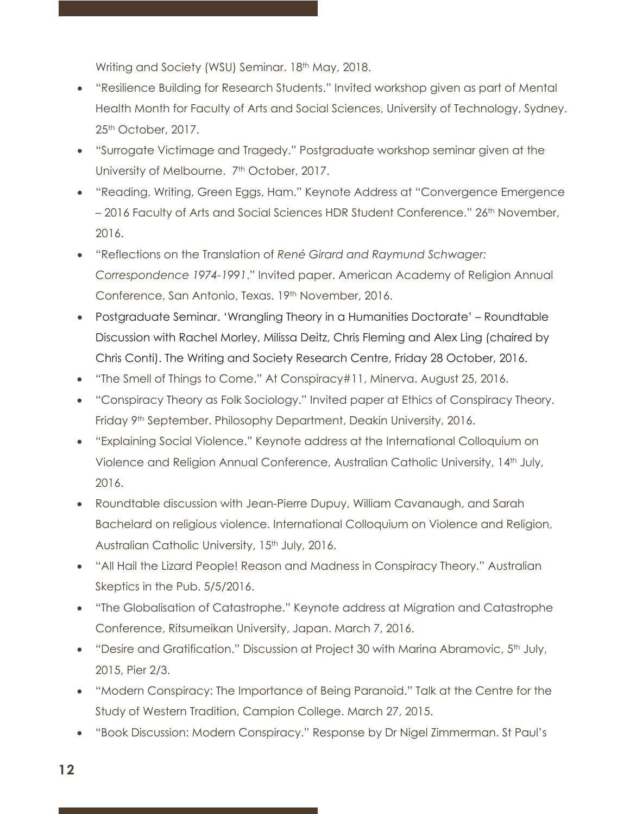Writing and Society (WSU) Seminar. 18<sup>th</sup> May, 2018.

- "Resilience Building for Research Students." Invited workshop given as part of Mental Health Month for Faculty of Arts and Social Sciences, University of Technology, Sydney. 25<sup>th</sup> October, 2017.
- "Surrogate Victimage and Tragedy." Postgraduate workshop seminar given at the University of Melbourne. 7<sup>th</sup> October, 2017.
- "Reading, Writing, Green Eggs, Ham." Keynote Address at "Convergence Emergence – 2016 Faculty of Arts and Social Sciences HDR Student Conference." 26<sup>th</sup> November, 2016.
- "Reflections on the Translation of *René Girard and Raymund Schwager: Correspondence 1974-1991*." Invited paper. American Academy of Religion Annual Conference, San Antonio, Texas. 19th November, 2016.
- Postgraduate Seminar. 'Wrangling Theory in a Humanities Doctorate' Roundtable Discussion with Rachel Morley, Milissa Deitz, Chris Fleming and Alex Ling (chaired by Chris Conti). The Writing and Society Research Centre, Friday 28 October, 2016.
- "The Smell of Things to Come." At Conspiracy#11, Minerva. August 25, 2016.
- "Conspiracy Theory as Folk Sociology." Invited paper at Ethics of Conspiracy Theory. Friday 9<sup>th</sup> September. Philosophy Department, Deakin University, 2016.
- "Explaining Social Violence." Keynote address at the International Colloquium on Violence and Religion Annual Conference, Australian Catholic University, 14th July, 2016.
- Roundtable discussion with Jean-Pierre Dupuy, William Cavanaugh, and Sarah Bachelard on religious violence. International Colloquium on Violence and Religion, Australian Catholic University, 15<sup>th</sup> July, 2016.
- "All Hail the Lizard People! Reason and Madness in Conspiracy Theory." Australian Skeptics in the Pub. 5/5/2016.
- "The Globalisation of Catastrophe." Keynote address at Migration and Catastrophe Conference, Ritsumeikan University, Japan. March 7, 2016.
- "Desire and Gratification." Discussion at Project 30 with Marina Abramovic,  $5<sup>th</sup>$  July, 2015, Pier 2/3.
- "Modern Conspiracy: The Importance of Being Paranoid." Talk at the Centre for the Study of Western Tradition, Campion College. March 27, 2015.
- "Book Discussion: Modern Conspiracy." Response by Dr Nigel Zimmerman. St Paul's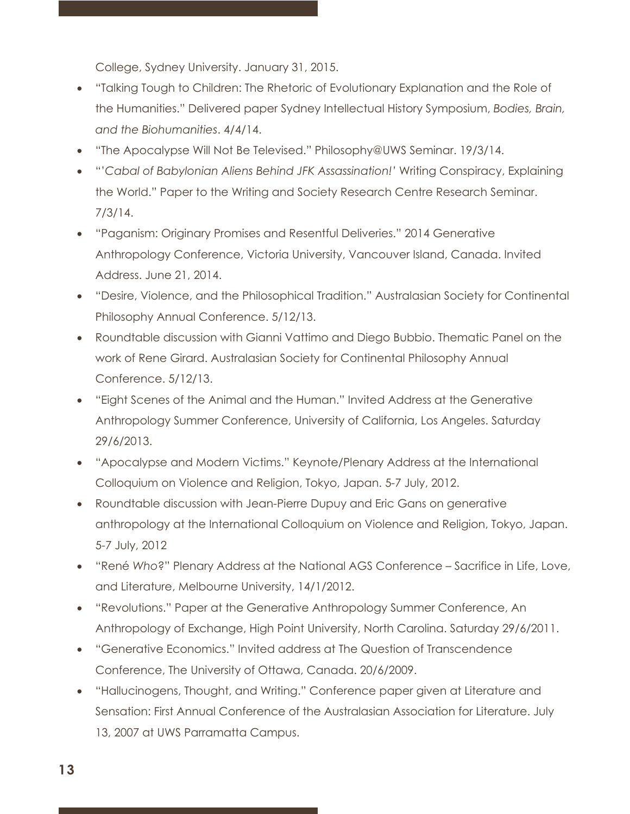College, Sydney University. January 31, 2015.

- "Talking Tough to Children: The Rhetoric of Evolutionary Explanation and the Role of the Humanities." Delivered paper Sydney Intellectual History Symposium, *Bodies, Brain, and the Biohumanities*. 4/4/14.
- "The Apocalypse Will Not Be Televised." Philosophy@UWS Seminar. 19/3/14.
- "'*Cabal of Babylonian Aliens Behind JFK Assassination!'* Writing Conspiracy, Explaining the World." Paper to the Writing and Society Research Centre Research Seminar. 7/3/14.
- "Paganism: Originary Promises and Resentful Deliveries." 2014 Generative Anthropology Conference, Victoria University, Vancouver Island, Canada. Invited Address. June 21, 2014.
- "Desire, Violence, and the Philosophical Tradition." Australasian Society for Continental Philosophy Annual Conference. 5/12/13.
- Roundtable discussion with Gianni Vattimo and Diego Bubbio. Thematic Panel on the work of Rene Girard. Australasian Society for Continental Philosophy Annual Conference. 5/12/13.
- "Eight Scenes of the Animal and the Human." Invited Address at the Generative Anthropology Summer Conference, University of California, Los Angeles. Saturday 29/6/2013.
- "Apocalypse and Modern Victims." Keynote/Plenary Address at the International Colloquium on Violence and Religion, Tokyo, Japan. 5-7 July, 2012.
- Roundtable discussion with Jean-Pierre Dupuy and Eric Gans on generative anthropology at the International Colloquium on Violence and Religion, Tokyo, Japan. 5-7 July, 2012
- "René *Who*?" Plenary Address at the National AGS Conference Sacrifice in Life, Love, and Literature, Melbourne University, 14/1/2012.
- "Revolutions." Paper at the Generative Anthropology Summer Conference, An Anthropology of Exchange, High Point University, North Carolina. Saturday 29/6/2011.
- "Generative Economics." Invited address at The Question of Transcendence Conference, The University of Ottawa, Canada. 20/6/2009.
- "Hallucinogens, Thought, and Writing." Conference paper given at Literature and Sensation: First Annual Conference of the Australasian Association for Literature. July 13, 2007 at UWS Parramatta Campus.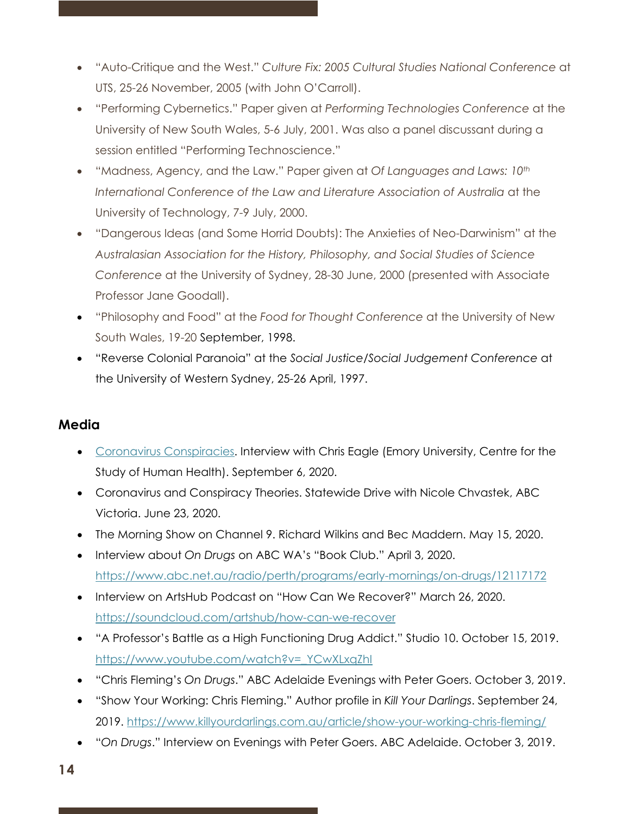- "Auto-Critique and the West." *Culture Fix: 2005 Cultural Studies National Conference* at UTS, 25-26 November, 2005 (with John O'Carroll).
- "Performing Cybernetics." Paper given at *Performing Technologies Conference* at the University of New South Wales, 5-6 July, 2001. Was also a panel discussant during a session entitled "Performing Technoscience."
- "Madness, Agency, and the Law." Paper given at *Of Languages and Laws: 10th International Conference of the Law and Literature Association of Australia* at the University of Technology, 7-9 July, 2000.
- "Dangerous Ideas (and Some Horrid Doubts): The Anxieties of Neo-Darwinism" at the *Australasian Association for the History, Philosophy, and Social Studies of Science Conference* at the University of Sydney, 28-30 June, 2000 (presented with Associate Professor Jane Goodall).
- "Philosophy and Food" at the *Food for Thought Conference* at the University of New South Wales, 19-20 September, 1998.
- "Reverse Colonial Paranoia" at the *Social Justice/Social Judgement Conference* at the University of Western Sydney, 25-26 April, 1997.

### **Media**

- Coronavirus Conspiracies. Interview with Chris Eagle (Emory University, Centre for the Study of Human Health). September 6, 2020.
- Coronavirus and Conspiracy Theories. Statewide Drive with Nicole Chvastek, ABC Victoria. June 23, 2020.
- The Morning Show on Channel 9. Richard Wilkins and Bec Maddern. May 15, 2020.
- Interview about *On Drugs* on ABC WA's "Book Club." April 3, 2020. https://www.abc.net.au/radio/perth/programs/early-mornings/on-drugs/12117172
- Interview on ArtsHub Podcast on "How Can We Recover?" March 26, 2020. https://soundcloud.com/artshub/how-can-we-recover
- "A Professor's Battle as a High Functioning Drug Addict." Studio 10. October 15, 2019. https://www.youtube.com/watch?v=\_YCwXLxqZhI
- "Chris Fleming's *On Drugs*." ABC Adelaide Evenings with Peter Goers. October 3, 2019.
- "Show Your Working: Chris Fleming." Author profile in *Kill Your Darlings*. September 24, 2019. https://www.killyourdarlings.com.au/article/show-your-working-chris-fleming/
- "*On Drugs*." Interview on Evenings with Peter Goers. ABC Adelaide. October 3, 2019.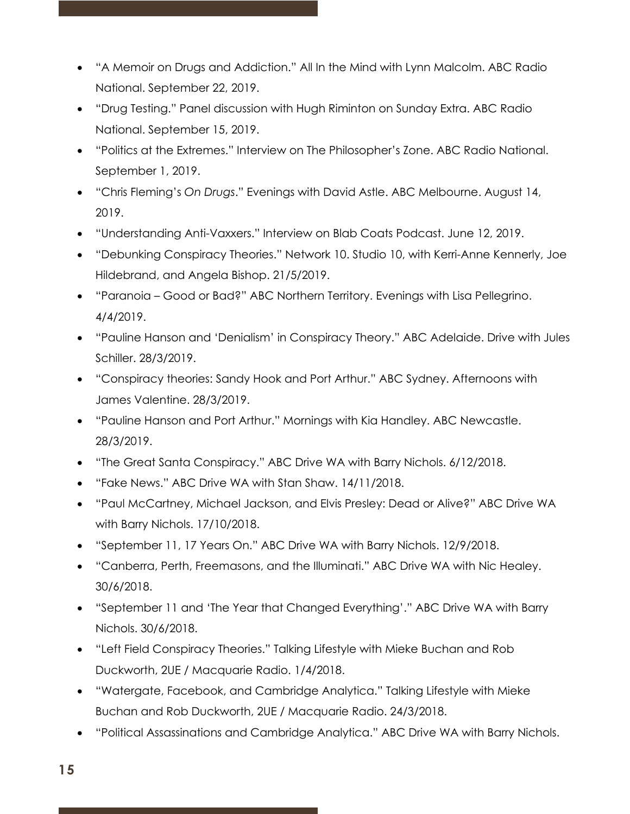- "A Memoir on Drugs and Addiction." All In the Mind with Lynn Malcolm. ABC Radio National. September 22, 2019.
- "Drug Testing." Panel discussion with Hugh Riminton on Sunday Extra. ABC Radio National. September 15, 2019.
- "Politics at the Extremes." Interview on The Philosopher's Zone. ABC Radio National. September 1, 2019.
- "Chris Fleming's *On Drugs*." Evenings with David Astle. ABC Melbourne. August 14, 2019.
- "Understanding Anti-Vaxxers." Interview on Blab Coats Podcast. June 12, 2019.
- "Debunking Conspiracy Theories." Network 10. Studio 10, with Kerri-Anne Kennerly, Joe Hildebrand, and Angela Bishop. 21/5/2019.
- "Paranoia Good or Bad?" ABC Northern Territory. Evenings with Lisa Pellegrino. 4/4/2019.
- "Pauline Hanson and 'Denialism' in Conspiracy Theory." ABC Adelaide. Drive with Jules Schiller. 28/3/2019.
- "Conspiracy theories: Sandy Hook and Port Arthur." ABC Sydney. Afternoons with James Valentine. 28/3/2019.
- "Pauline Hanson and Port Arthur." Mornings with Kia Handley. ABC Newcastle. 28/3/2019.
- "The Great Santa Conspiracy." ABC Drive WA with Barry Nichols. 6/12/2018.
- "Fake News." ABC Drive WA with Stan Shaw. 14/11/2018.
- "Paul McCartney, Michael Jackson, and Elvis Presley: Dead or Alive?" ABC Drive WA with Barry Nichols. 17/10/2018.
- "September 11, 17 Years On." ABC Drive WA with Barry Nichols. 12/9/2018.
- "Canberra, Perth, Freemasons, and the Illuminati." ABC Drive WA with Nic Healey. 30/6/2018.
- "September 11 and 'The Year that Changed Everything'." ABC Drive WA with Barry Nichols. 30/6/2018.
- "Left Field Conspiracy Theories." Talking Lifestyle with Mieke Buchan and Rob Duckworth, 2UE / Macquarie Radio. 1/4/2018.
- "Watergate, Facebook, and Cambridge Analytica." Talking Lifestyle with Mieke Buchan and Rob Duckworth, 2UE / Macquarie Radio. 24/3/2018.
- "Political Assassinations and Cambridge Analytica." ABC Drive WA with Barry Nichols.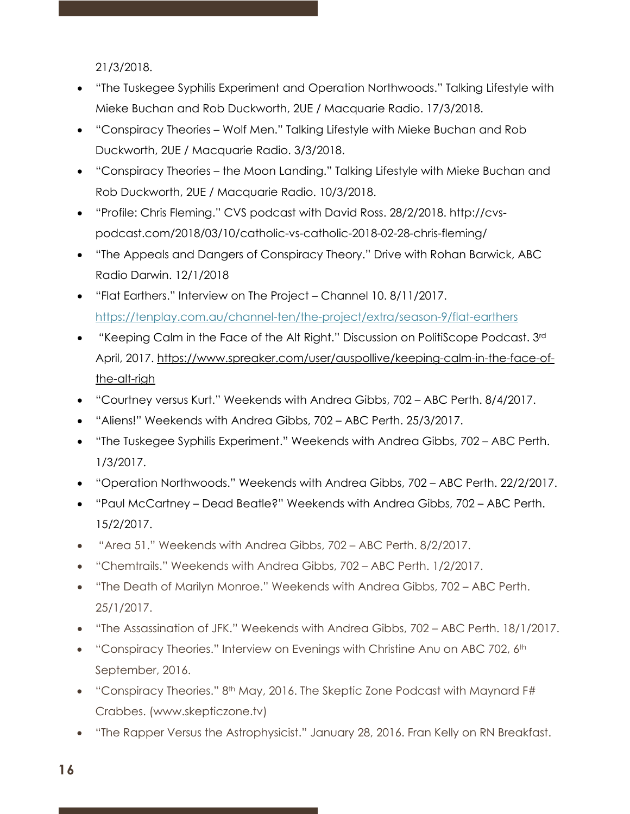21/3/2018.

- "The Tuskegee Syphilis Experiment and Operation Northwoods." Talking Lifestyle with Mieke Buchan and Rob Duckworth, 2UE / Macquarie Radio. 17/3/2018.
- "Conspiracy Theories Wolf Men." Talking Lifestyle with Mieke Buchan and Rob Duckworth, 2UE / Macquarie Radio. 3/3/2018.
- "Conspiracy Theories the Moon Landing." Talking Lifestyle with Mieke Buchan and Rob Duckworth, 2UE / Macquarie Radio. 10/3/2018.
- "Profile: Chris Fleming." CVS podcast with David Ross. 28/2/2018. http://cvspodcast.com/2018/03/10/catholic-vs-catholic-2018-02-28-chris-fleming/
- "The Appeals and Dangers of Conspiracy Theory." Drive with Rohan Barwick, ABC Radio Darwin. 12/1/2018
- "Flat Earthers." Interview on The Project Channel 10. 8/11/2017. https://tenplay.com.au/channel-ten/the-project/extra/season-9/flat-earthers
- "Keeping Calm in the Face of the Alt Right." Discussion on PolitiScope Podcast. 3rd April, 2017. https://www.spreaker.com/user/auspollive/keeping-calm-in-the-face-ofthe-alt-righ
- "Courtney versus Kurt." Weekends with Andrea Gibbs, 702 ABC Perth. 8/4/2017.
- "Aliens!" Weekends with Andrea Gibbs, 702 ABC Perth. 25/3/2017.
- "The Tuskegee Syphilis Experiment." Weekends with Andrea Gibbs, 702 ABC Perth. 1/3/2017.
- "Operation Northwoods." Weekends with Andrea Gibbs, 702 ABC Perth. 22/2/2017.
- "Paul McCartney Dead Beatle?" Weekends with Andrea Gibbs, 702 ABC Perth. 15/2/2017.
- "Area 51." Weekends with Andrea Gibbs, 702 ABC Perth. 8/2/2017.
- "Chemtrails." Weekends with Andrea Gibbs, 702 ABC Perth. 1/2/2017.
- "The Death of Marilyn Monroe." Weekends with Andrea Gibbs, 702 ABC Perth. 25/1/2017.
- "The Assassination of JFK." Weekends with Andrea Gibbs, 702 ABC Perth. 18/1/2017.
- "Conspiracy Theories." Interview on Evenings with Christine Anu on ABC 702,  $6<sup>th</sup>$ September, 2016.
- "Conspiracy Theories." 8<sup>th</sup> May, 2016. The Skeptic Zone Podcast with Maynard F# Crabbes. (www.skepticzone.tv)
- "The Rapper Versus the Astrophysicist." January 28, 2016. Fran Kelly on RN Breakfast.